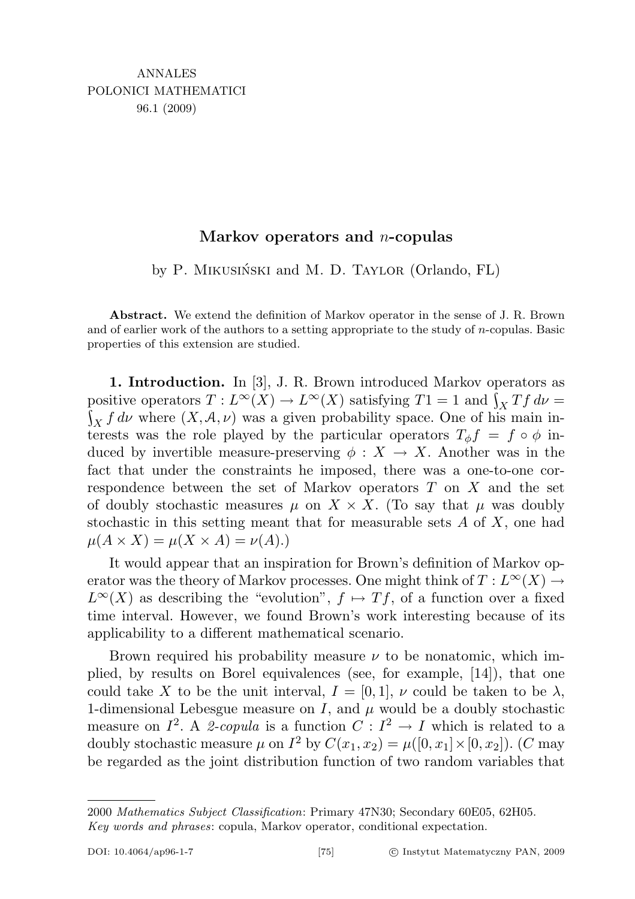## Markov operators and  $n$ -copulas

by P. MIKUSIŃSKI and M. D. TAYLOR (Orlando, FL)

Abstract. We extend the definition of Markov operator in the sense of J. R. Brown and of earlier work of the authors to a setting appropriate to the study of  $n$ -copulas. Basic properties of this extension are studied.

1. Introduction. In [3], J. R. Brown introduced Markov operators as positive operators  $T: L^{\infty}(X) \to L^{\infty}(X)$  satisfying  $T1 = 1$  and  $\int_X Tf d\nu =$  $\int_X f d\nu$  where  $(X, \mathcal{A}, \nu)$  was a given probability space. One of his main interests was the role played by the particular operators  $T_{\phi}f = f \circ \phi$  induced by invertible measure-preserving  $\phi: X \to X$ . Another was in the fact that under the constraints he imposed, there was a one-to-one correspondence between the set of Markov operators T on X and the set of doubly stochastic measures  $\mu$  on  $X \times X$ . (To say that  $\mu$  was doubly stochastic in this setting meant that for measurable sets A of X, one had  $\mu(A \times X) = \mu(X \times A) = \nu(A).$ 

It would appear that an inspiration for Brown's definition of Markov operator was the theory of Markov processes. One might think of  $T: L^{\infty}(X) \rightarrow$  $L^{\infty}(X)$  as describing the "evolution",  $f \mapsto Tf$ , of a function over a fixed time interval. However, we found Brown's work interesting because of its applicability to a different mathematical scenario.

Brown required his probability measure  $\nu$  to be nonatomic, which implied, by results on Borel equivalences (see, for example, [14]), that one could take X to be the unit interval,  $I = [0, 1], \nu$  could be taken to be  $\lambda$ , 1-dimensional Lebesgue measure on  $I$ , and  $\mu$  would be a doubly stochastic measure on  $I^2$ . A 2-copula is a function  $C: I^2 \to I$  which is related to a doubly stochastic measure  $\mu$  on  $I^2$  by  $C(x_1, x_2) = \mu([0, x_1] \times [0, x_2])$ . (C may be regarded as the joint distribution function of two random variables that

<sup>2000</sup> Mathematics Subject Classification: Primary 47N30; Secondary 60E05, 62H05. Key words and phrases: copula, Markov operator, conditional expectation.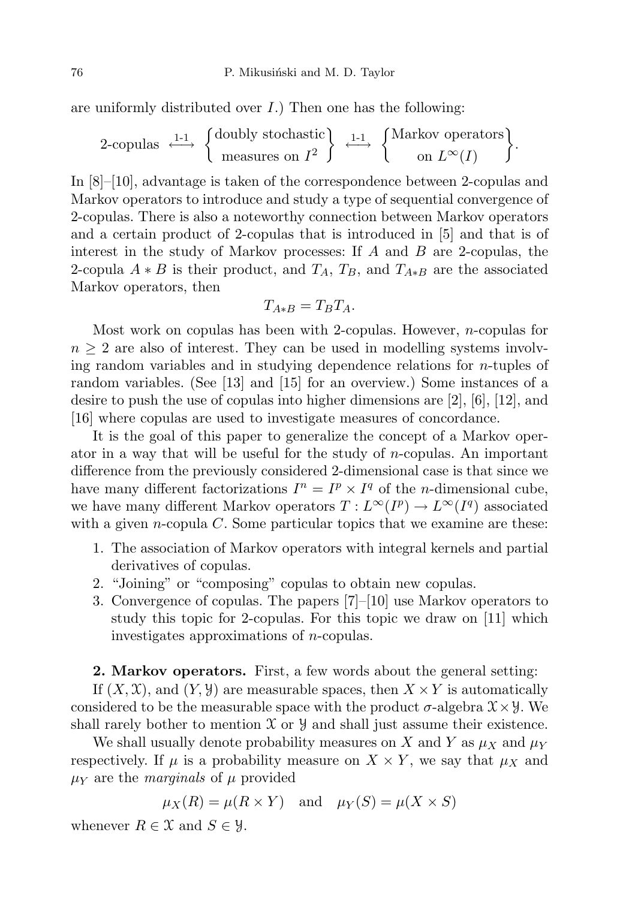are uniformly distributed over  $I$ .) Then one has the following:

$$
2\text{-copulas} \xrightarrow{\text{1-1}} \left\{ \begin{array}{c} \text{doubly stochastic} \\ \text{measures on } I^2 \end{array} \right\} \xrightarrow{\text{1-1}} \left\{ \begin{array}{c} \text{Markov operators} \\ \text{on } L^{\infty}(I) \end{array} \right\}.
$$

In [8]–[10], advantage is taken of the correspondence between 2-copulas and Markov operators to introduce and study a type of sequential convergence of 2-copulas. There is also a noteworthy connection between Markov operators and a certain product of 2-copulas that is introduced in [5] and that is of interest in the study of Markov processes: If  $A$  and  $B$  are 2-copulas, the 2-copula  $A * B$  is their product, and  $T_A$ ,  $T_B$ , and  $T_{A*B}$  are the associated Markov operators, then

$$
T_{A*B} = T_B T_A.
$$

Most work on copulas has been with 2-copulas. However, n-copulas for  $n \geq 2$  are also of interest. They can be used in modelling systems involving random variables and in studying dependence relations for  $n$ -tuples of random variables. (See [13] and [15] for an overview.) Some instances of a desire to push the use of copulas into higher dimensions are [2], [6], [12], and [16] where copulas are used to investigate measures of concordance.

It is the goal of this paper to generalize the concept of a Markov operator in a way that will be useful for the study of  $n$ -copulas. An important difference from the previously considered 2-dimensional case is that since we have many different factorizations  $I^n = I^p \times I^q$  of the *n*-dimensional cube, we have many different Markov operators  $T: L^{\infty}(I^p) \to L^{\infty}(I^q)$  associated with a given *n*-copula  $C$ . Some particular topics that we examine are these:

- 1. The association of Markov operators with integral kernels and partial derivatives of copulas.
- 2. "Joining" or "composing" copulas to obtain new copulas.
- 3. Convergence of copulas. The papers [7]–[10] use Markov operators to study this topic for 2-copulas. For this topic we draw on [11] which investigates approximations of n-copulas.

## 2. Markov operators. First, a few words about the general setting:

If  $(X, \mathcal{X})$ , and  $(Y, \mathcal{Y})$  are measurable spaces, then  $X \times Y$  is automatically considered to be the measurable space with the product  $\sigma$ -algebra  $\mathfrak{X} \times \mathfrak{Y}$ . We shall rarely bother to mention  $X$  or  $Y$  and shall just assume their existence.

We shall usually denote probability measures on X and Y as  $\mu_X$  and  $\mu_Y$ respectively. If  $\mu$  is a probability measure on  $X \times Y$ , we say that  $\mu_X$  and  $\mu_Y$  are the *marginals* of  $\mu$  provided

$$
\mu_X(R) = \mu(R \times Y)
$$
 and  $\mu_Y(S) = \mu(X \times S)$ 

whenever  $R \in \mathfrak{X}$  and  $S \in \mathfrak{Y}$ .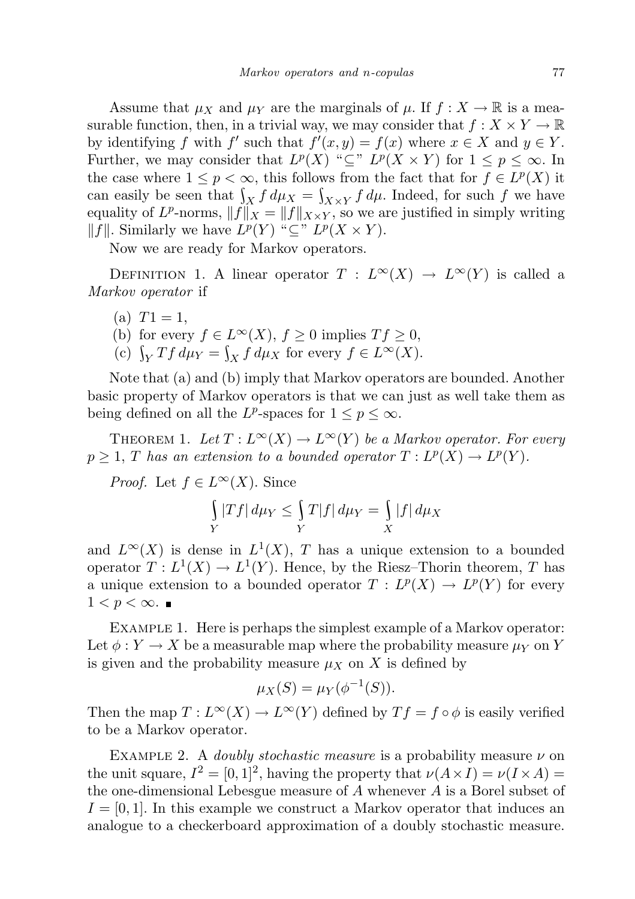Assume that  $\mu_X$  and  $\mu_Y$  are the marginals of  $\mu$ . If  $f : X \to \mathbb{R}$  is a measurable function, then, in a trivial way, we may consider that  $f: X \times Y \to \mathbb{R}$ by identifying f with f' such that  $f'(x, y) = f(x)$  where  $x \in X$  and  $y \in Y$ . Further, we may consider that  $L^p(X)$  " $\subseteq$ "  $L^p(X \times Y)$  for  $1 \leq p \leq \infty$ . In the case where  $1 \leq p < \infty$ , this follows from the fact that for  $f \in L^p(X)$  it can easily be seen that  $\int_X f d\mu_X = \int_{X \times Y} f d\mu$ . Indeed, for such f we have equality of  $L^p$ -norms,  $||f||_X = ||f||_{X\times Y}$ , so we are justified in simply writing  $||f||$ . Similarly we have  $L^p(Y)$  "⊆"  $L^p(X \times Y)$ .

Now we are ready for Markov operators.

DEFINITION 1. A linear operator  $T : L^{\infty}(X) \to L^{\infty}(Y)$  is called a Markov operator if

- (a)  $T1 = 1$ ,
- (b) for every  $f \in L^{\infty}(X)$ ,  $f \ge 0$  implies  $T f \ge 0$ ,
- (c)  $\int_Y Tf d\mu_Y = \int_X f d\mu_X$  for every  $f \in L^{\infty}(X)$ .

Note that (a) and (b) imply that Markov operators are bounded. Another basic property of Markov operators is that we can just as well take them as being defined on all the  $L^p$ -spaces for  $1 \leq p \leq \infty$ .

THEOREM 1. Let  $T: L^{\infty}(X) \to L^{\infty}(Y)$  be a Markov operator. For every  $p \geq 1$ , T has an extension to a bounded operator  $T: L^p(X) \to L^p(Y)$ .

*Proof.* Let  $f \in L^{\infty}(X)$ . Since

$$
\int\limits_Y |Tf|\,d\mu_Y\leq \int\limits_Y T|f|\,d\mu_Y=\int\limits_X |f|\,d\mu_X
$$

and  $L^{\infty}(X)$  is dense in  $L^{1}(X)$ , T has a unique extension to a bounded operator  $T: L^1(X) \to L^1(Y)$ . Hence, by the Riesz-Thorin theorem, T has a unique extension to a bounded operator  $T: L^p(X) \to L^p(Y)$  for every  $1 < p < \infty$ . ■

Example 1. Here is perhaps the simplest example of a Markov operator: Let  $\phi: Y \to X$  be a measurable map where the probability measure  $\mu_Y$  on Y is given and the probability measure  $\mu_X$  on X is defined by

$$
\mu_X(S) = \mu_Y(\phi^{-1}(S)).
$$

Then the map  $T: L^{\infty}(X) \to L^{\infty}(Y)$  defined by  $T f = f \circ \phi$  is easily verified to be a Markov operator.

EXAMPLE 2. A *doubly stochastic measure* is a probability measure  $\nu$  on the unit square,  $I^2 = [0, 1]^2$ , having the property that  $\nu(A \times I) = \nu(I \times A)$ the one-dimensional Lebesgue measure of  $A$  whenever  $A$  is a Borel subset of  $I = [0, 1]$ . In this example we construct a Markov operator that induces an analogue to a checkerboard approximation of a doubly stochastic measure.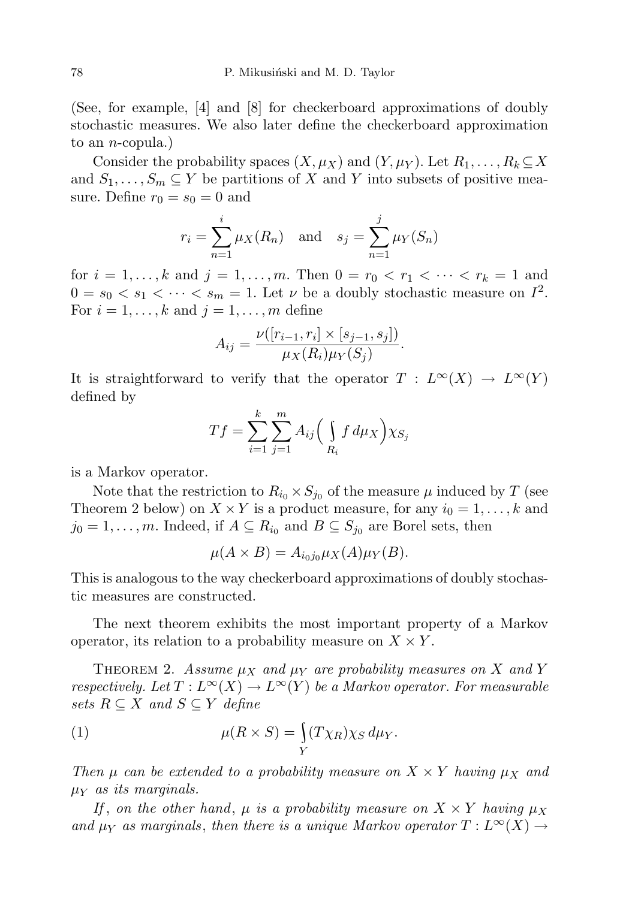(See, for example, [4] and [8] for checkerboard approximations of doubly stochastic measures. We also later define the checkerboard approximation to an *n*-copula.)

Consider the probability spaces  $(X, \mu_X)$  and  $(Y, \mu_Y)$ . Let  $R_1, \ldots, R_k \subseteq X$ and  $S_1, \ldots, S_m \subseteq Y$  be partitions of X and Y into subsets of positive measure. Define  $r_0 = s_0 = 0$  and

$$
r_i = \sum_{n=1}^i \mu_X(R_n)
$$
 and  $s_j = \sum_{n=1}^j \mu_Y(S_n)$ 

for  $i = 1, ..., k$  and  $j = 1, ..., m$ . Then  $0 = r_0 < r_1 < \cdots < r_k = 1$  and  $0 = s_0 < s_1 < \cdots < s_m = 1$ . Let  $\nu$  be a doubly stochastic measure on  $I^2$ . For  $i = 1, \ldots, k$  and  $j = 1, \ldots, m$  define

$$
A_{ij} = \frac{\nu([r_{i-1}, r_i] \times [s_{j-1}, s_j])}{\mu_X(R_i)\mu_Y(S_j)}.
$$

It is straightforward to verify that the operator  $T : L^{\infty}(X) \to L^{\infty}(Y)$ defined by

$$
Tf = \sum_{i=1}^{k} \sum_{j=1}^{m} A_{ij} \Big( \int_{R_i} f d\mu_X \Big) \chi_{S_j}
$$

is a Markov operator.

Note that the restriction to  $R_{i_0} \times S_{j_0}$  of the measure  $\mu$  induced by T (see Theorem 2 below) on  $X \times Y$  is a product measure, for any  $i_0 = 1, \ldots, k$  and  $j_0 = 1, \ldots, m$ . Indeed, if  $A \subseteq R_{i_0}$  and  $B \subseteq S_{j_0}$  are Borel sets, then

$$
\mu(A \times B) = A_{i_0 j_0} \mu_X(A) \mu_Y(B).
$$

This is analogous to the way checkerboard approximations of doubly stochastic measures are constructed.

The next theorem exhibits the most important property of a Markov operator, its relation to a probability measure on  $X \times Y$ .

THEOREM 2. Assume  $\mu_X$  and  $\mu_Y$  are probability measures on X and Y respectively. Let  $T: L^{\infty}(X) \to L^{\infty}(Y)$  be a Markov operator. For measurable sets  $R \subseteq X$  and  $S \subseteq Y$  define

(1) 
$$
\mu(R \times S) = \int_Y (T \chi_R) \chi_S d\mu_Y.
$$

Then  $\mu$  can be extended to a probability measure on  $X \times Y$  having  $\mu_X$  and  $\mu_Y$  as its marginals.

If, on the other hand,  $\mu$  is a probability measure on  $X \times Y$  having  $\mu_X$ and  $\mu_Y$  as marginals, then there is a unique Markov operator  $T: L^{\infty}(X) \rightarrow$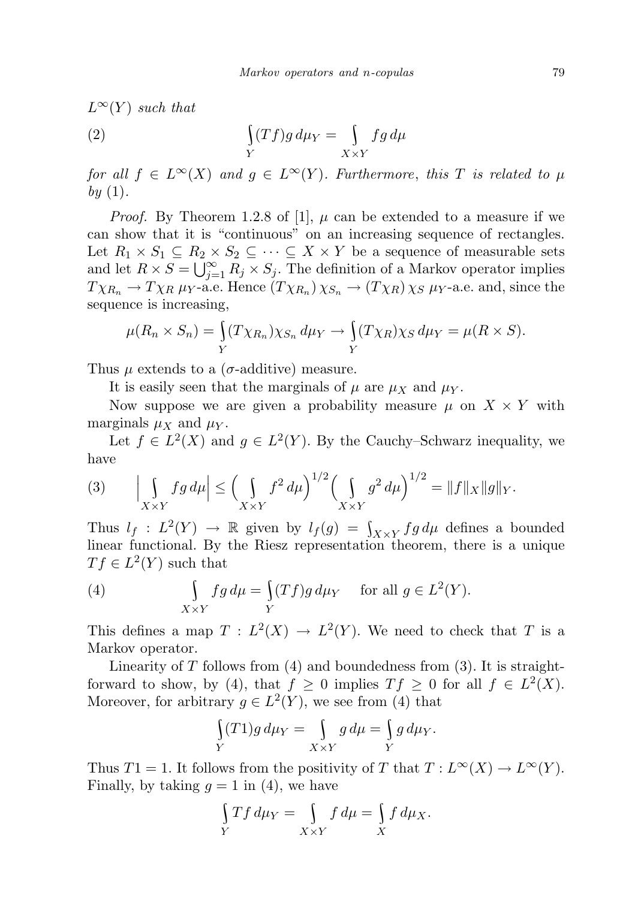$L^{\infty}(Y)$  such that  $(2)$ Y  $(Tf)g d\mu_Y =$  $X \times Y$  $fg d\mu$ 

for all  $f \in L^{\infty}(X)$  and  $g \in L^{\infty}(Y)$ . Furthermore, this T is related to  $\mu$ by  $(1)$ .

*Proof.* By Theorem 1.2.8 of [1],  $\mu$  can be extended to a measure if we can show that it is "continuous" on an increasing sequence of rectangles. Let  $R_1 \times S_1 \subseteq R_2 \times S_2 \subseteq \cdots \subseteq X \times Y$  be a sequence of measurable sets and let  $R \times S = \bigcup_{j=1}^{\infty} R_j \times S_j$ . The definition of a Markov operator implies  $T \chi_{R_n} \to T \chi_R \mu_Y$ -a.e. Hence  $(T \chi_{R_n}) \chi_{S_n} \to (T \chi_R) \chi_S \mu_Y$ -a.e. and, since the sequence is increasing,

$$
\mu(R_n \times S_n) = \int_Y (T \chi_{R_n}) \chi_{S_n} d\mu_Y \to \int_Y (T \chi_R) \chi_S d\mu_Y = \mu(R \times S).
$$

Thus  $\mu$  extends to a ( $\sigma$ -additive) measure.

It is easily seen that the marginals of  $\mu$  are  $\mu_X$  and  $\mu_Y$ .

Now suppose we are given a probability measure  $\mu$  on  $X \times Y$  with marginals  $\mu_X$  and  $\mu_Y$ .

Let  $f \in L^2(X)$  and  $g \in L^2(Y)$ . By the Cauchy–Schwarz inequality, we have

(3) 
$$
\left| \int_{X \times Y} fg \, d\mu \right| \le \left( \int_{X \times Y} f^2 \, d\mu \right)^{1/2} \left( \int_{X \times Y} g^2 \, d\mu \right)^{1/2} = \|f\|_X \|g\|_Y.
$$

Thus  $l_f : L^2(Y) \to \mathbb{R}$  given by  $l_f(g) = \int_{X \times Y} fg d\mu$  defines a bounded linear functional. By the Riesz representation theorem, there is a unique  $Tf \in L^2(Y)$  such that

(4) 
$$
\int_{X \times Y} fg \, d\mu = \int_{Y} (Tf)g \, d\mu_Y \quad \text{ for all } g \in L^2(Y).
$$

This defines a map  $T : L^2(X) \to L^2(Y)$ . We need to check that T is a Markov operator.

Linearity of  $T$  follows from  $(4)$  and boundedness from  $(3)$ . It is straightforward to show, by (4), that  $f \geq 0$  implies  $Tf \geq 0$  for all  $f \in L^2(X)$ . Moreover, for arbitrary  $g \in L^2(Y)$ , we see from (4) that

$$
\int\limits_Y(T1)g\,d\mu_Y = \int\limits_{X\times Y}g\,d\mu = \int\limits_Y g\,d\mu_Y.
$$

Thus  $T1 = 1$ . It follows from the positivity of T that  $T: L^{\infty}(X) \to L^{\infty}(Y)$ . Finally, by taking  $q = 1$  in (4), we have

$$
\int\limits_Y Tf \, d\mu_Y = \int\limits_{X \times Y} f \, d\mu = \int\limits_X f \, d\mu_X.
$$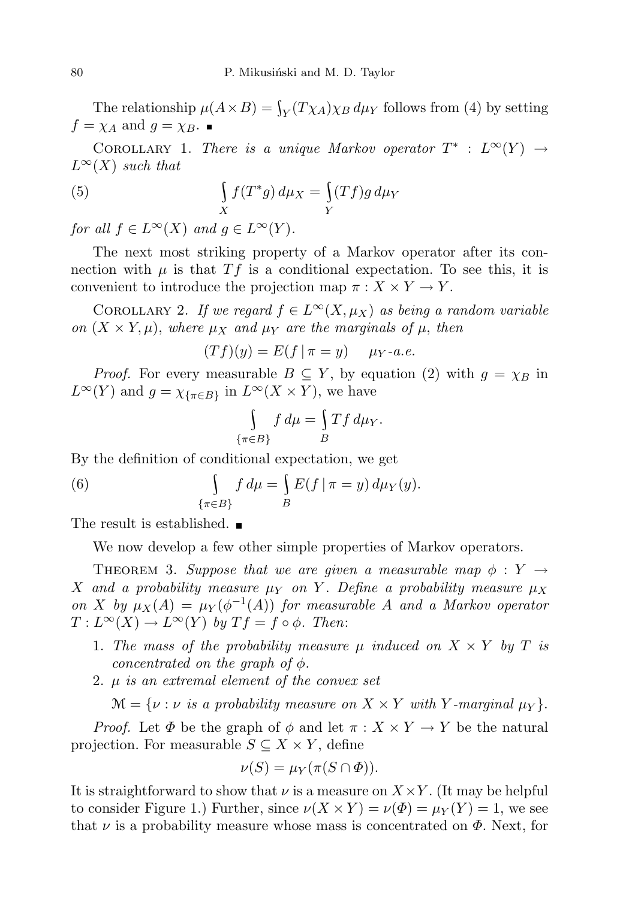The relationship  $\mu(A \times B) = \int_Y (T \chi_A) \chi_B d\mu_Y$  follows from (4) by setting  $f = \chi_A$  and  $g = \chi_B$ .

COROLLARY 1. There is a unique Markov operator  $T^*$  :  $L^{\infty}(Y) \rightarrow$  $L^{\infty}(X)$  such that

(5) 
$$
\int_{X} f(T^*g) d\mu_X = \int_{Y} (Tf)g d\mu_Y
$$

for all  $f \in L^{\infty}(X)$  and  $g \in L^{\infty}(Y)$ .

The next most striking property of a Markov operator after its connection with  $\mu$  is that  $Tf$  is a conditional expectation. To see this, it is convenient to introduce the projection map  $\pi: X \times Y \to Y$ .

COROLLARY 2. If we regard  $f \in L^{\infty}(X, \mu_X)$  as being a random variable on  $(X \times Y, \mu)$ , where  $\mu_X$  and  $\mu_Y$  are the marginals of  $\mu$ , then

$$
(Tf)(y) = E(f | \pi = y) \quad \mu_Y \text{-}a.e.
$$

*Proof.* For every measurable  $B \subseteq Y$ , by equation (2) with  $g = \chi_B$  in  $L^{\infty}(Y)$  and  $g = \chi_{\{\pi \in B\}}$  in  $L^{\infty}(X \times Y)$ , we have

$$
\int_{\{\pi \in B\}} f d\mu = \int_B Tf d\mu_Y.
$$

By the definition of conditional expectation, we get

(6) 
$$
\int_{\{\pi \in B\}} f d\mu = \int_{B} E(f | \pi = y) d\mu_Y(y).
$$

The result is established.  $\blacksquare$ 

We now develop a few other simple properties of Markov operators.

THEOREM 3. Suppose that we are given a measurable map  $\phi: Y \rightarrow$ X and a probability measure  $\mu_Y$  on Y. Define a probability measure  $\mu_X$ on X by  $\mu_X(A) = \mu_Y(\phi^{-1}(A))$  for measurable A and a Markov operator  $T: L^{\infty}(X) \to L^{\infty}(Y)$  by  $Tf = f \circ \phi$ . Then:

- 1. The mass of the probability measure  $\mu$  induced on  $X \times Y$  by T is concentrated on the graph of  $\phi$ .
- 2.  $\mu$  is an extremal element of the convex set

 $\mathcal{M} = \{ \nu : \nu \text{ is a probability measure on } X \times Y \text{ with } Y\text{-marginal } \mu_Y \}.$ 

*Proof.* Let  $\Phi$  be the graph of  $\phi$  and let  $\pi : X \times Y \to Y$  be the natural projection. For measurable  $S \subseteq X \times Y$ , define

$$
\nu(S) = \mu_Y(\pi(S \cap \Phi)).
$$

It is straightforward to show that  $\nu$  is a measure on  $X \times Y$ . (It may be helpful to consider Figure 1.) Further, since  $\nu(X \times Y) = \nu(\Phi) = \mu_Y(Y) = 1$ , we see that  $\nu$  is a probability measure whose mass is concentrated on  $\Phi$ . Next, for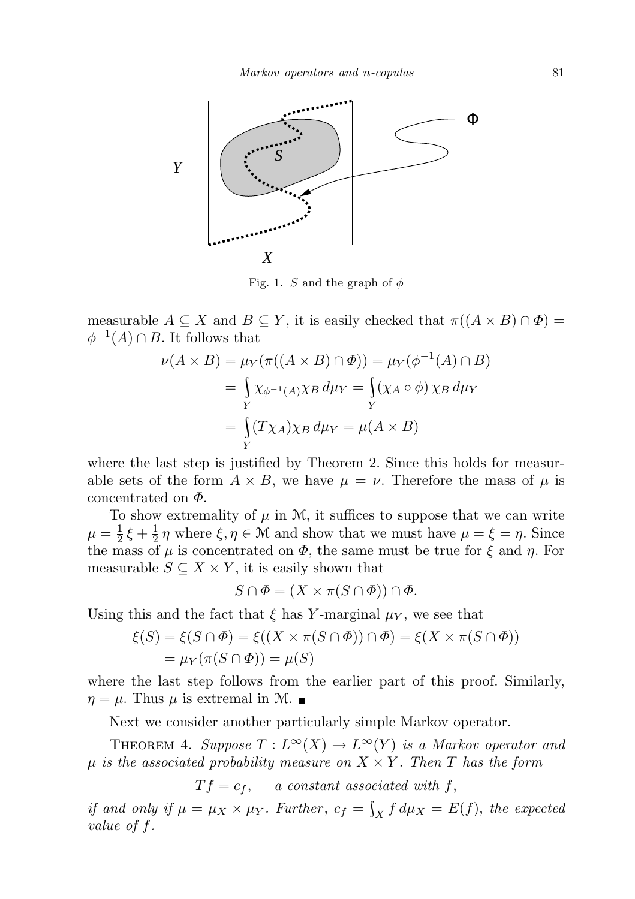

Fig. 1. S and the graph of  $\phi$ 

measurable  $A \subseteq X$  and  $B \subseteq Y$ , it is easily checked that  $\pi((A \times B) \cap \Phi) =$  $\phi^{-1}(A) \cap B$ . It follows that

$$
\nu(A \times B) = \mu_Y(\pi((A \times B) \cap \Phi)) = \mu_Y(\phi^{-1}(A) \cap B)
$$
  
= 
$$
\int_Y \chi_{\phi^{-1}(A)} \chi_B d\mu_Y = \int_Y (\chi_A \circ \phi) \chi_B d\mu_Y
$$
  
= 
$$
\int_Y (T \chi_A) \chi_B d\mu_Y = \mu(A \times B)
$$

where the last step is justified by Theorem 2. Since this holds for measurable sets of the form  $A \times B$ , we have  $\mu = \nu$ . Therefore the mass of  $\mu$  is concentrated on  $\Phi$ .

To show extremality of  $\mu$  in M, it suffices to suppose that we can write  $\mu = \frac{1}{2}$  $\frac{1}{2}\xi + \frac{1}{2}$  $\frac{1}{2}\eta$  where  $\xi, \eta \in \mathcal{M}$  and show that we must have  $\mu = \xi = \eta$ . Since the mass of  $\mu$  is concentrated on  $\Phi$ , the same must be true for  $\xi$  and  $\eta$ . For measurable  $S \subseteq X \times Y$ , it is easily shown that

$$
S \cap \Phi = (X \times \pi(S \cap \Phi)) \cap \Phi.
$$

Using this and the fact that  $\xi$  has Y-marginal  $\mu_Y$ , we see that

$$
\xi(S) = \xi(S \cap \Phi) = \xi((X \times \pi(S \cap \Phi)) \cap \Phi) = \xi(X \times \pi(S \cap \Phi))
$$
  
=  $\mu_Y(\pi(S \cap \Phi)) = \mu(S)$ 

where the last step follows from the earlier part of this proof. Similarly,  $\eta = \mu$ . Thus  $\mu$  is extremal in M.

Next we consider another particularly simple Markov operator.

THEOREM 4. Suppose  $T: L^{\infty}(X) \to L^{\infty}(Y)$  is a Markov operator and  $\mu$  is the associated probability measure on  $X \times Y$ . Then T has the form

 $T f = c_f$ , a constant associated with f,

if and only if  $\mu = \mu_X \times \mu_Y$ . Further,  $c_f = \int_X f d\mu_X = E(f)$ , the expected value of f.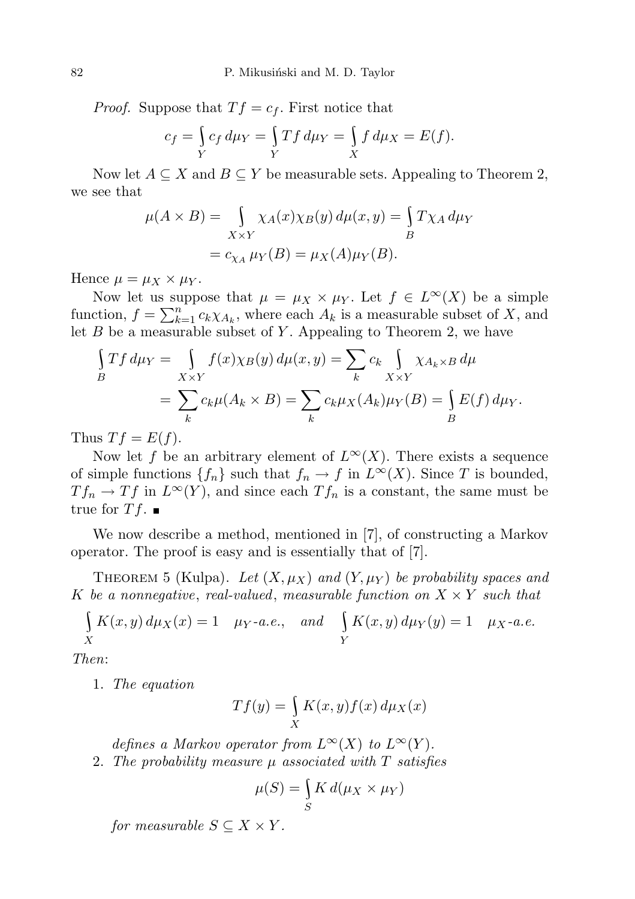*Proof.* Suppose that  $Tf = c_f$ . First notice that

$$
c_f = \int\limits_Y c_f d\mu_Y = \int\limits_Y Tf d\mu_Y = \int\limits_X f d\mu_X = E(f).
$$

Now let  $A \subseteq X$  and  $B \subseteq Y$  be measurable sets. Appealing to Theorem 2, we see that

$$
\mu(A \times B) = \int_{X \times Y} \chi_A(x) \chi_B(y) d\mu(x, y) = \int_B T \chi_A d\mu_Y
$$
  
=  $c_{\chi_A} \mu_Y(B) = \mu_X(A) \mu_Y(B)$ .

Hence  $\mu = \mu_X \times \mu_Y$ .

Now let us suppose that  $\mu = \mu_X \times \mu_Y$ . Let  $f \in L^{\infty}(X)$  be a simple function,  $f = \sum_{k=1}^{n} c_k \chi_{A_k}$ , where each  $A_k$  is a measurable subset of X, and let  $B$  be a measurable subset of  $Y$ . Appealing to Theorem 2, we have

$$
\int\limits_B Tf d\mu_Y = \int\limits_{X \times Y} f(x) \chi_B(y) d\mu(x, y) = \sum\limits_k c_k \int\limits_{X \times Y} \chi_{A_k \times B} d\mu
$$

$$
= \sum\limits_k c_k \mu(A_k \times B) = \sum\limits_k c_k \mu_X(A_k) \mu_Y(B) = \int\limits_B E(f) d\mu_Y.
$$

Thus  $T f = E(f)$ .

Now let f be an arbitrary element of  $L^{\infty}(X)$ . There exists a sequence of simple functions  ${f_n}$  such that  $f_n \to f$  in  $L^{\infty}(X)$ . Since T is bounded,  $T f_n \to T f$  in  $L^{\infty}(Y)$ , and since each  $T f_n$  is a constant, the same must be true for  $T f$ .

We now describe a method, mentioned in [7], of constructing a Markov operator. The proof is easy and is essentially that of [7].

THEOREM 5 (Kulpa). Let  $(X, \mu_X)$  and  $(Y, \mu_Y)$  be probability spaces and K be a nonnegative, real-valued, measurable function on  $X \times Y$  such that

$$
\int_{X} K(x, y) d\mu_X(x) = 1 \quad \mu_Y \text{-a.e.,} \quad \text{and} \quad \int_{Y} K(x, y) d\mu_Y(y) = 1 \quad \mu_X \text{-a.e.}
$$

Then:

1. The equation

$$
Tf(y) = \int_{X} K(x, y) f(x) d\mu_X(x)
$$

defines a Markov operator from  $L^{\infty}(X)$  to  $L^{\infty}(Y)$ . 2. The probability measure  $\mu$  associated with  $T$  satisfies

$$
\mu(S) = \int_{S} K d(\mu_X \times \mu_Y)
$$

for measurable  $S \subseteq X \times Y$ .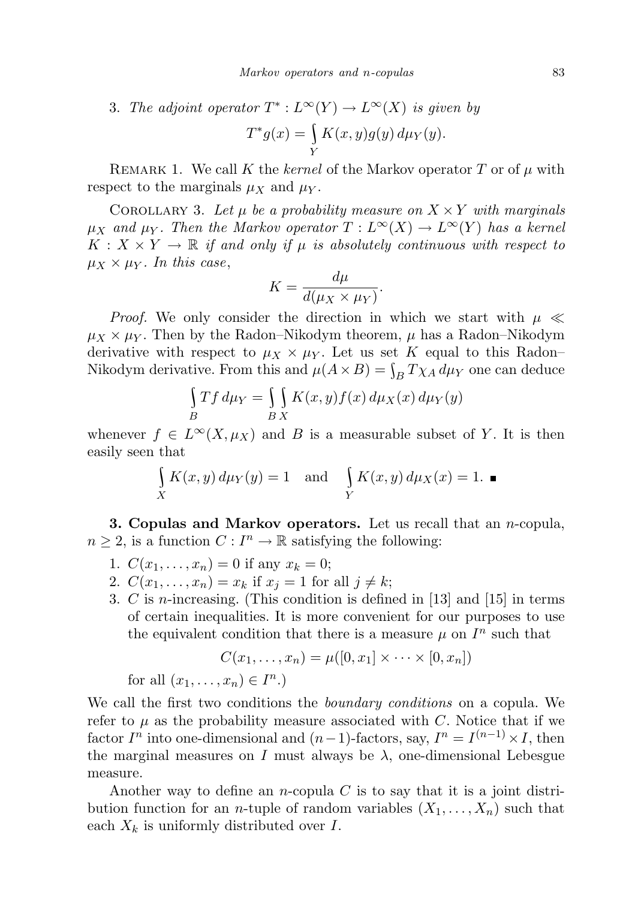3. The adjoint operator  $T^*: L^{\infty}(Y) \to L^{\infty}(X)$  is given by  $T^*g(x) = \left\{$  $K(x, y)g(y) d\mu_Y(y).$ 

REMARK 1. We call K the kernel of the Markov operator T or of  $\mu$  with respect to the marginals  $\mu_X$  and  $\mu_Y$ .

Y

COROLLARY 3. Let  $\mu$  be a probability measure on  $X \times Y$  with marginals  $\mu_X$  and  $\mu_Y$ . Then the Markov operator  $T: L^{\infty}(X) \to L^{\infty}(Y)$  has a kernel  $K: X \times Y \to \mathbb{R}$  if and only if  $\mu$  is absolutely continuous with respect to  $\mu_X \times \mu_Y$ . In this case,

$$
K = \frac{d\mu}{d(\mu_X \times \mu_Y)}.
$$

*Proof.* We only consider the direction in which we start with  $\mu \ll$  $\mu_X \times \mu_Y$ . Then by the Radon–Nikodym theorem,  $\mu$  has a Radon–Nikodym derivative with respect to  $\mu_X \times \mu_Y$ . Let us set K equal to this Radon– Nikodym derivative. From this and  $\mu(A \times B) = \int_B T \chi_A d\mu_Y$  one can deduce

$$
\int\limits_B Tf d\mu_Y = \int\limits_B \int\limits_X K(x, y) f(x) d\mu_X(x) d\mu_Y(y)
$$

whenever  $f \in L^{\infty}(X, \mu_X)$  and B is a measurable subset of Y. It is then easily seen that

$$
\int_{X} K(x, y) d\mu_Y(y) = 1 \text{ and } \int_{Y} K(x, y) d\mu_X(x) = 1. \blacksquare
$$

**3. Copulas and Markov operators.** Let us recall that an  $n$ -copula,  $n \geq 2$ , is a function  $C: I^n \to \mathbb{R}$  satisfying the following:

- 1.  $C(x_1, \ldots, x_n) = 0$  if any  $x_k = 0$ ;
- 2.  $C(x_1,...,x_n) = x_k$  if  $x_i = 1$  for all  $j \neq k$ ;
- 3. C is n-increasing. (This condition is defined in [13] and [15] in terms of certain inequalities. It is more convenient for our purposes to use the equivalent condition that there is a measure  $\mu$  on  $I^n$  such that

$$
C(x_1,\ldots,x_n)=\mu([0,x_1]\times\cdots\times[0,x_n])
$$

for all  $(x_1, \ldots, x_n) \in I^n$ .)

We call the first two conditions the *boundary conditions* on a copula. We refer to  $\mu$  as the probability measure associated with C. Notice that if we factor  $I^n$  into one-dimensional and  $(n-1)$ -factors, say,  $I^n = I^{(n-1)} \times I$ , then the marginal measures on I must always be  $\lambda$ , one-dimensional Lebesgue measure.

Another way to define an *n*-copula  $C$  is to say that it is a joint distribution function for an *n*-tuple of random variables  $(X_1, \ldots, X_n)$  such that each  $X_k$  is uniformly distributed over I.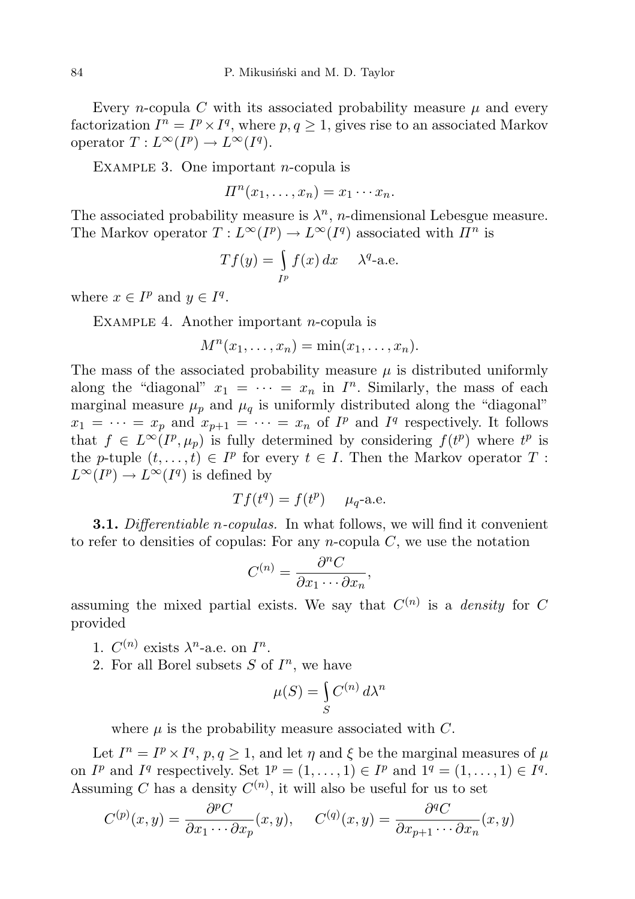Every *n*-copula C with its associated probability measure  $\mu$  and every factorization  $I^n = I^p \times I^q$ , where  $p, q \geq 1$ , gives rise to an associated Markov operator  $T: L^{\infty}(I^p) \to L^{\infty}(I^q)$ .

EXAMPLE 3. One important  $n$ -copula is

 $\Pi^n(x_1,\ldots,x_n)=x_1\cdots x_n.$ 

The associated probability measure is  $\lambda^n$ , *n*-dimensional Lebesgue measure. The Markov operator  $T: L^{\infty}(I^p) \to L^{\infty}(I^q)$  associated with  $\Pi^n$  is

$$
Tf(y) = \int_{I^p} f(x) dx \quad \lambda^q
$$
-a.e.

where  $x \in I^p$  and  $y \in I^q$ .

EXAMPLE 4. Another important *n*-copula is

$$
M^n(x_1,\ldots,x_n)=\min(x_1,\ldots,x_n).
$$

The mass of the associated probability measure  $\mu$  is distributed uniformly along the "diagonal"  $x_1 = \cdots = x_n$  in  $I^n$ . Similarly, the mass of each marginal measure  $\mu_p$  and  $\mu_q$  is uniformly distributed along the "diagonal"  $x_1 = \cdots = x_p$  and  $x_{p+1} = \cdots = x_n$  of  $I^p$  and  $I^q$  respectively. It follows that  $f \in L^{\infty}(I^p, \mu_p)$  is fully determined by considering  $f(t^p)$  where  $t^p$  is the p-tuple  $(t, \ldots, t) \in I^p$  for every  $t \in I$ . Then the Markov operator T:  $L^{\infty}(I^p) \to L^{\infty}(I^q)$  is defined by

$$
Tf(t^q) = f(t^p)
$$
  $\mu_q$ -a.e.

**3.1.** Differentiable *n*-copulas. In what follows, we will find it convenient to refer to densities of copulas: For any *n*-copula  $C$ , we use the notation

$$
C^{(n)} = \frac{\partial^n C}{\partial x_1 \cdots \partial x_n},
$$

assuming the mixed partial exists. We say that  $C^{(n)}$  is a *density* for C provided

- 1.  $C^{(n)}$  exists  $\lambda^n$ -a.e. on  $I^n$ .
- 2. For all Borel subsets  $S$  of  $I<sup>n</sup>$ , we have

$$
\mu(S) = \int_{S} C^{(n)} d\lambda^n
$$

where  $\mu$  is the probability measure associated with C.

Let  $I^n = I^p \times I^q$ ,  $p, q \ge 1$ , and let  $\eta$  and  $\xi$  be the marginal measures of  $\mu$ on  $I^p$  and  $I^q$  respectively. Set  $1^p = (1, \ldots, 1) \in I^p$  and  $1^q = (1, \ldots, 1) \in I^q$ . Assuming C has a density  $C^{(n)}$ , it will also be useful for us to set

$$
C^{(p)}(x,y) = \frac{\partial^p C}{\partial x_1 \cdots \partial x_p}(x,y), \quad C^{(q)}(x,y) = \frac{\partial^q C}{\partial x_{p+1} \cdots \partial x_n}(x,y)
$$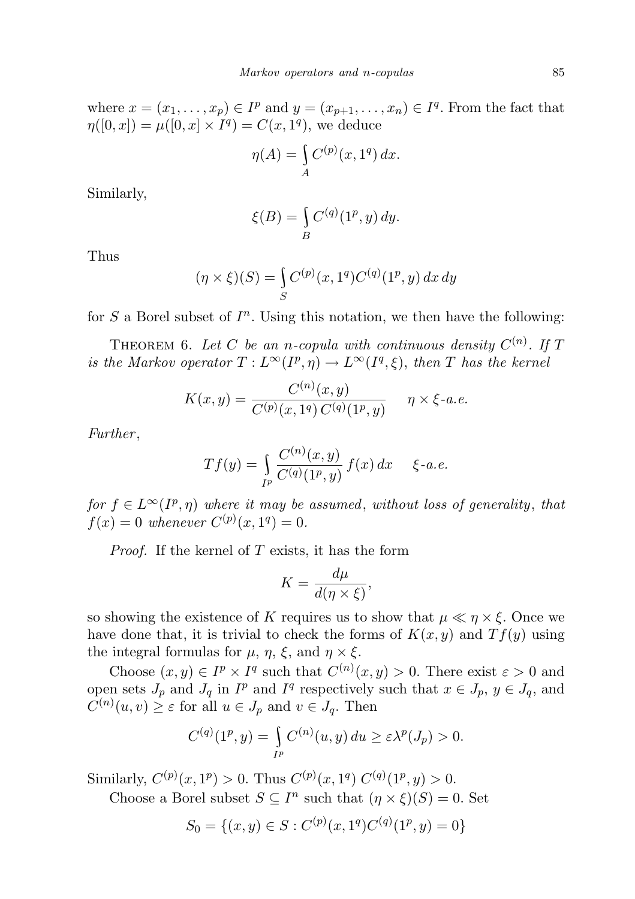where  $x = (x_1, \ldots, x_p) \in I^p$  and  $y = (x_{p+1}, \ldots, x_n) \in I^q$ . From the fact that  $\eta([0, x]) = \mu([0, x] \times I^q) = C(x, 1^q)$ , we deduce

$$
\eta(A) = \int\limits_A C^{(p)}(x, 1^q) \, dx.
$$

Similarly,

$$
\xi(B) = \int_B C^{(q)}(1^p, y) dy.
$$

Thus

$$
(\eta \times \xi)(S) = \int_{S} C^{(p)}(x, 1^q) C^{(q)}(1^p, y) dx dy
$$

for  $S$  a Borel subset of  $I<sup>n</sup>$ . Using this notation, we then have the following:

THEOREM 6. Let C be an n-copula with continuous density  $C^{(n)}$ . If T is the Markov operator  $T: L^{\infty}(I^p, \eta) \to L^{\infty}(I^q, \xi)$ , then T has the kernel

$$
K(x,y) = \frac{C^{(n)}(x,y)}{C^{(p)}(x,1^q) C^{(q)}(1^p,y)} \quad \eta \times \xi \text{-}a.e.
$$

Further,

$$
Tf(y) = \int_{I^p} \frac{C^{(n)}(x, y)}{C^{(q)}(1^p, y)} f(x) dx \quad \xi \text{-}a.e.
$$

for  $f \in L^{\infty}(I^p, \eta)$  where it may be assumed, without loss of generality, that  $f(x) = 0$  whenever  $C^{(p)}(x, 1^q) = 0$ .

*Proof.* If the kernel of  $T$  exists, it has the form

$$
K = \frac{d\mu}{d(\eta \times \xi)},
$$

so showing the existence of K requires us to show that  $\mu \ll \eta \times \xi$ . Once we have done that, it is trivial to check the forms of  $K(x, y)$  and  $Tf(y)$  using the integral formulas for  $\mu$ ,  $\eta$ ,  $\xi$ , and  $\eta \times \xi$ .

Choose  $(x, y) \in I^p \times I^q$  such that  $C^{(n)}(x, y) > 0$ . There exist  $\varepsilon > 0$  and open sets  $J_p$  and  $J_q$  in  $I^p$  and  $I^q$  respectively such that  $x \in J_p$ ,  $y \in J_q$ , and  $C^{(n)}(u,v) \geq \varepsilon$  for all  $u \in J_p$  and  $v \in J_q$ . Then

$$
C^{(q)}(1^p, y) = \int_{I^p} C^{(n)}(u, y) du \ge \varepsilon \lambda^p(J_p) > 0.
$$

Similarly,  $C^{(p)}(x,1^p) > 0$ . Thus  $C^{(p)}(x,1^q) C^{(q)}(1^p,y) > 0$ .

Choose a Borel subset  $S \subseteq I^n$  such that  $(\eta \times \xi)(S) = 0$ . Set

$$
S_0 = \{(x, y) \in S : C^{(p)}(x, 1^q)C^{(q)}(1^p, y) = 0\}
$$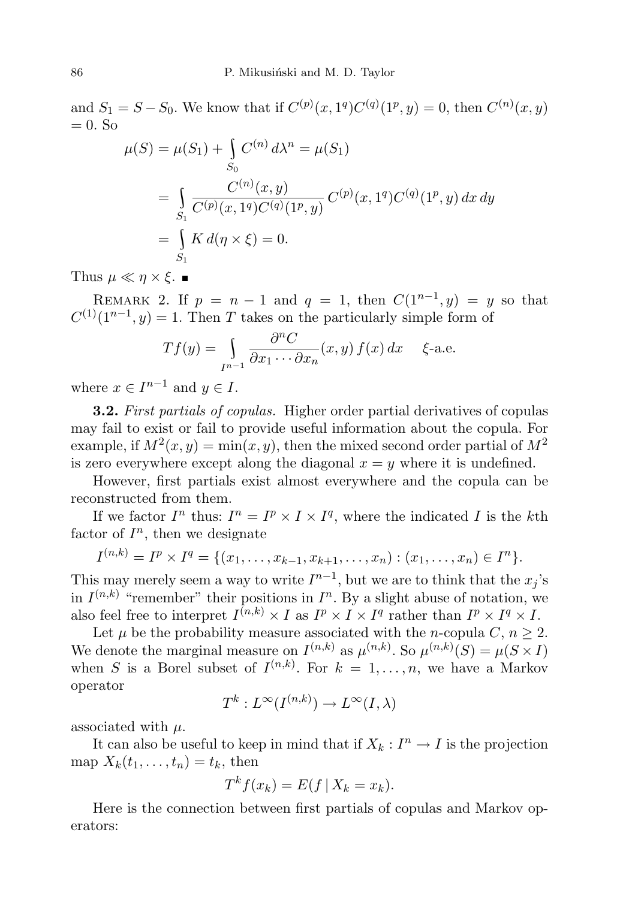and  $S_1 = S - S_0$ . We know that if  $C^{(p)}(x, 1^q)C^{(q)}(1^p, y) = 0$ , then  $C^{(n)}(x, y)$  $= 0.$  So

$$
\mu(S) = \mu(S_1) + \int_{S_0} C^{(n)} d\lambda^n = \mu(S_1)
$$
  
= 
$$
\int_{S_1} \frac{C^{(n)}(x, y)}{C^{(p)}(x, 1^q)C^{(q)}(1^p, y)} C^{(p)}(x, 1^q)C^{(q)}(1^p, y) dx dy
$$
  
= 
$$
\int_{S_1} K d(\eta \times \xi) = 0.
$$

Thus  $\mu \ll \eta \times \xi$ .

REMARK 2. If  $p = n - 1$  and  $q = 1$ , then  $C(1^{n-1}, y) = y$  so that  $C^{(1)}(1^{n-1},y) = 1$ . Then T takes on the particularly simple form of

$$
Tf(y) = \int_{I^{n-1}} \frac{\partial^n C}{\partial x_1 \cdots \partial x_n}(x, y) f(x) dx \quad \xi\text{-a.e.}
$$

where  $x \in I^{n-1}$  and  $y \in I$ .

**3.2.** First partials of copulas. Higher order partial derivatives of copulas may fail to exist or fail to provide useful information about the copula. For example, if  $M^2(x, y) = \min(x, y)$ , then the mixed second order partial of  $M^2$ is zero everywhere except along the diagonal  $x = y$  where it is undefined.

However, first partials exist almost everywhere and the copula can be reconstructed from them.

If we factor  $I^n$  thus:  $I^n = I^p \times I \times I^q$ , where the indicated I is the kth factor of  $I^n$ , then we designate

$$
I^{(n,k)} = I^p \times I^q = \{ (x_1, \ldots, x_{k-1}, x_{k+1}, \ldots, x_n) : (x_1, \ldots, x_n) \in I^n \}.
$$

This may merely seem a way to write  $I^{n-1}$ , but we are to think that the  $x_j$ 's in  $I^{(n,k)}$  "remember" their positions in  $I^n$ . By a slight abuse of notation, we also feel free to interpret  $I^{(n,k)} \times I$  as  $I^p \times I \times I^q$  rather than  $I^p \times I^q \times I$ .

Let  $\mu$  be the probability measure associated with the *n*-copula C,  $n > 2$ . We denote the marginal measure on  $I^{(n,k)}$  as  $\mu^{(n,k)}$ . So  $\mu^{(n,k)}(S) = \mu(S \times I)$ when S is a Borel subset of  $I^{(n,k)}$ . For  $k = 1, \ldots, n$ , we have a Markov operator

$$
T^k: L^\infty(I^{(n,k)}) \to L^\infty(I, \lambda)
$$

associated with  $\mu$ .

It can also be useful to keep in mind that if  $X_k : I^n \to I$  is the projection map  $X_k(t_1,\ldots,t_n)=t_k$ , then

$$
T^k f(x_k) = E(f \mid X_k = x_k).
$$

Here is the connection between first partials of copulas and Markov operators: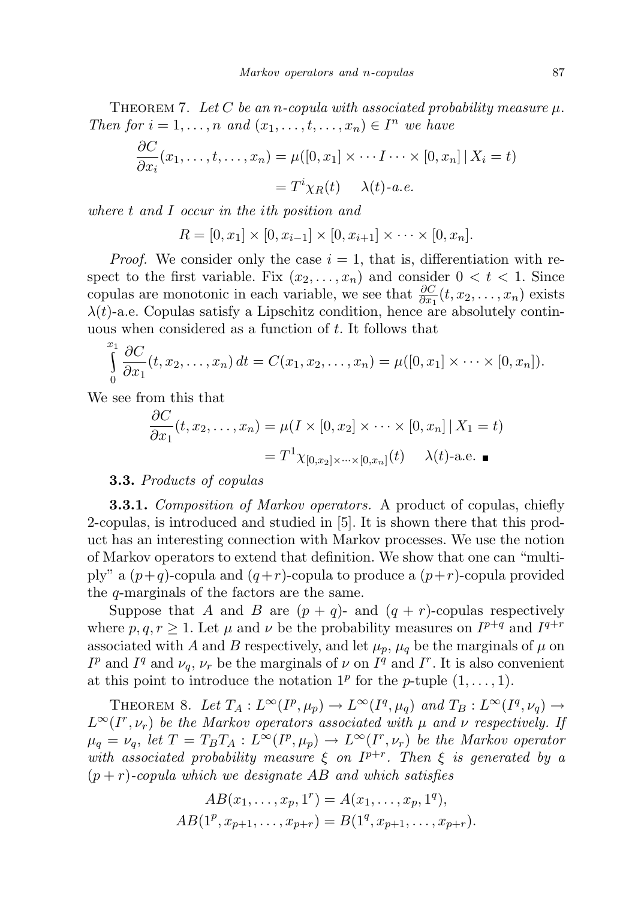THEOREM 7. Let C be an n-copula with associated probability measure  $\mu$ . Then for  $i = 1, \ldots, n$  and  $(x_1, \ldots, t, \ldots, x_n) \in I^n$  we have

$$
\frac{\partial C}{\partial x_i}(x_1,\ldots,t,\ldots,x_n) = \mu([0,x_1] \times \cdots I \cdots \times [0,x_n] | X_i = t)
$$

$$
= T^i \chi_R(t) \qquad \lambda(t) \text{-} a.e.
$$

where t and I occur in the ith position and

 $R = [0, x_1] \times [0, x_{i-1}] \times [0, x_{i+1}] \times \cdots \times [0, x_n].$ 

*Proof.* We consider only the case  $i = 1$ , that is, differentiation with respect to the first variable. Fix  $(x_2, \ldots, x_n)$  and consider  $0 < t < 1$ . Since copulas are monotonic in each variable, we see that  $\frac{\partial C}{\partial x_1}(t, x_2, \ldots, x_n)$  exists  $\lambda(t)$ -a.e. Copulas satisfy a Lipschitz condition, hence are absolutely continuous when considered as a function of t. It follows that

$$
\int_{0}^{x_1} \frac{\partial C}{\partial x_1}(t, x_2, \dots, x_n) dt = C(x_1, x_2, \dots, x_n) = \mu([0, x_1] \times \dots \times [0, x_n]).
$$

We see from this that

$$
\frac{\partial C}{\partial x_1}(t, x_2, \dots, x_n) = \mu(I \times [0, x_2] \times \dots \times [0, x_n] | X_1 = t)
$$

$$
= T^1 \chi_{[0, x_2] \times \dots \times [0, x_n]}(t) \quad \lambda(t) \text{-a.e. } \blacksquare
$$

## 3.3. Products of copulas

**3.3.1.** Composition of Markov operators. A product of copulas, chiefly 2-copulas, is introduced and studied in [5]. It is shown there that this product has an interesting connection with Markov processes. We use the notion of Markov operators to extend that definition. We show that one can "multiply" a  $(p+q)$ -copula and  $(q+r)$ -copula to produce a  $(p+r)$ -copula provided the q-marginals of the factors are the same.

Suppose that A and B are  $(p+q)$ - and  $(q + r)$ -copulas respectively where  $p, q, r \geq 1$ . Let  $\mu$  and  $\nu$  be the probability measures on  $I^{p+q}$  and  $I^{q+r}$ associated with A and B respectively, and let  $\mu_p$ ,  $\mu_q$  be the marginals of  $\mu$  on  $I^p$  and  $I^q$  and  $\nu_q$ ,  $\nu_r$  be the marginals of  $\nu$  on  $I^q$  and  $I^r$ . It is also convenient at this point to introduce the notation  $1^p$  for the *p*-tuple  $(1, \ldots, 1)$ .

THEOREM 8. Let  $T_A: L^{\infty}(I^p, \mu_p) \to L^{\infty}(I^q, \mu_q)$  and  $T_B: L^{\infty}(I^q, \nu_q) \to$  $L^{\infty}(I^r,\nu_r)$  be the Markov operators associated with  $\mu$  and  $\nu$  respectively. If  $\mu_q = \nu_q$ , let  $T = T_B T_A : L^{\infty}(I^p, \mu_p) \to L^{\infty}(I^r, \nu_r)$  be the Markov operator with associated probability measure  $\xi$  on  $I^{p+r}$ . Then  $\xi$  is generated by a  $(p + r)$ -copula which we designate AB and which satisfies

$$
AB(x_1, \ldots, x_p, 1^r) = A(x_1, \ldots, x_p, 1^q),
$$
  

$$
AB(1^p, x_{p+1}, \ldots, x_{p+r}) = B(1^q, x_{p+1}, \ldots, x_{p+r}).
$$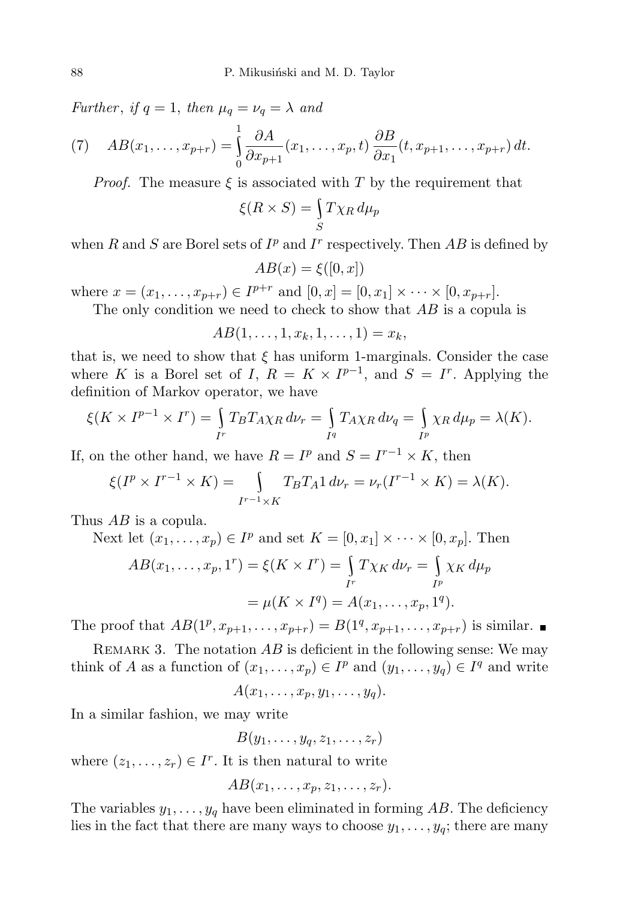Further, if  $q = 1$ , then  $\mu_q = \nu_q = \lambda$  and

(7) 
$$
AB(x_1,\ldots,x_{p+r})=\int\limits_0^1\frac{\partial A}{\partial x_{p+1}}(x_1,\ldots,x_p,t)\frac{\partial B}{\partial x_1}(t,x_{p+1},\ldots,x_{p+r})\,dt.
$$

*Proof.* The measure  $\xi$  is associated with T by the requirement that

$$
\xi(R \times S) = \int_{S} T \chi_R \, d\mu_p
$$

when R and S are Borel sets of  $I^p$  and  $I^r$  respectively. Then AB is defined by

$$
AB(x) = \xi([0, x])
$$

where  $x = (x_1, \ldots, x_{p+r}) \in I^{p+r}$  and  $[0, x] = [0, x_1] \times \cdots \times [0, x_{p+r}]$ .

The only condition we need to check to show that  $AB$  is a copula is

$$
AB(1,\ldots,1,x_k,1,\ldots,1)=x_k,
$$

that is, we need to show that  $\xi$  has uniform 1-marginals. Consider the case where K is a Borel set of I,  $R = K \times I^{p-1}$ , and  $S = I^r$ . Applying the definition of Markov operator, we have

$$
\xi(K \times I^{p-1} \times I^r) = \int_{I^r} T_B T_A \chi_R d\nu_r = \int_{I^q} T_A \chi_R d\nu_q = \int_{I^p} \chi_R d\mu_p = \lambda(K).
$$

If, on the other hand, we have  $R = I^p$  and  $S = I^{r-1} \times K$ , then

$$
\xi(I^p \times I^{r-1} \times K) = \int_{I^{r-1} \times K} T_B T_A 1 \, d\nu_r = \nu_r(I^{r-1} \times K) = \lambda(K).
$$

Thus AB is a copula.

Next let 
$$
(x_1, ..., x_p) \in I^p
$$
 and set  $K = [0, x_1] \times \cdots \times [0, x_p]$ . Then  
\n
$$
AB(x_1, ..., x_p, 1^r) = \xi(K \times I^r) = \int_{I^r} T\chi_K d\nu_r = \int_{I^p} \chi_K d\mu_p
$$
\n
$$
= \mu(K \times I^q) = A(x_1, ..., x_p, 1^q).
$$

The proof that  $AB(1^p, x_{p+1},..., x_{p+r}) = B(1^q, x_{p+1},..., x_{p+r})$  is similar.

REMARK 3. The notation  $AB$  is deficient in the following sense: We may think of A as a function of  $(x_1, \ldots, x_p) \in I^p$  and  $(y_1, \ldots, y_q) \in I^q$  and write

$$
A(x_1,\ldots,x_p,y_1,\ldots,y_q).
$$

In a similar fashion, we may write

$$
B(y_1,\ldots,y_q,z_1,\ldots,z_r)
$$

where  $(z_1, \ldots, z_r) \in I^r$ . It is then natural to write

$$
AB(x_1,\ldots,x_p,z_1,\ldots,z_r).
$$

The variables  $y_1, \ldots, y_q$  have been eliminated in forming AB. The deficiency lies in the fact that there are many ways to choose  $y_1, \ldots, y_q$ ; there are many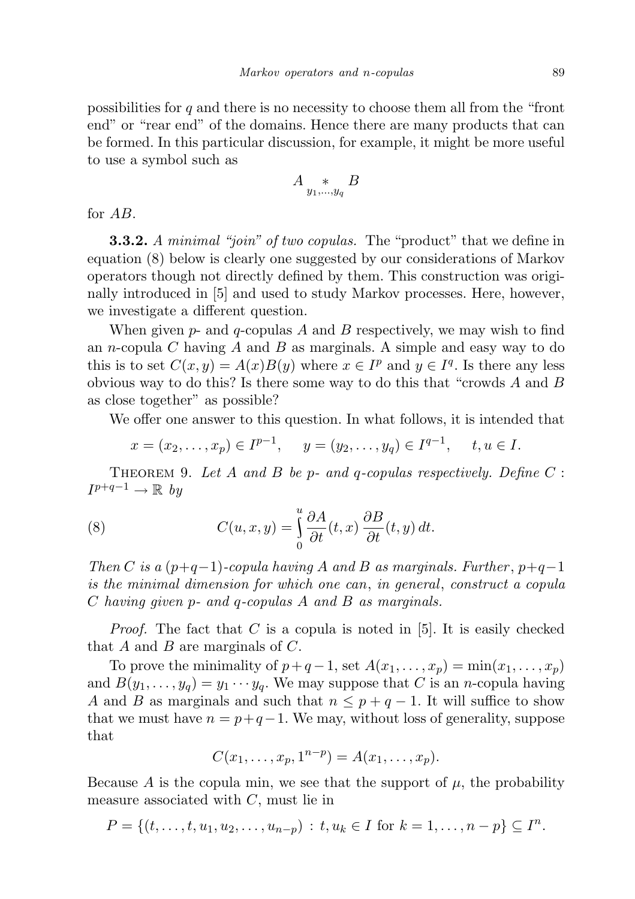possibilities for  $q$  and there is no necessity to choose them all from the "front" end" or "rear end" of the domains. Hence there are many products that can be formed. In this particular discussion, for example, it might be more useful to use a symbol such as

$$
A \underset{y_1,\ldots,y_q}{*} B
$$

for AB.

**3.3.2.** A minimal "join" of two copulas. The "product" that we define in equation (8) below is clearly one suggested by our considerations of Markov operators though not directly defined by them. This construction was originally introduced in [5] and used to study Markov processes. Here, however, we investigate a different question.

When given  $p$ - and  $q$ -copulas A and B respectively, we may wish to find an *n*-copula C having A and B as marginals. A simple and easy way to do this is to set  $C(x, y) = A(x)B(y)$  where  $x \in I^p$  and  $y \in I^q$ . Is there any less obvious way to do this? Is there some way to do this that "crowds  $A$  and  $B$ " as close together" as possible?

We offer one answer to this question. In what follows, it is intended that

$$
x = (x_2, ..., x_p) \in I^{p-1}, \quad y = (y_2, ..., y_q) \in I^{q-1}, \quad t, u \in I.
$$

THEOREM 9. Let A and B be p- and q-copulas respectively. Define  $C$ :  $I^{p+q-1} \to \mathbb{R}$  by

(8) 
$$
C(u, x, y) = \int_{0}^{u} \frac{\partial A}{\partial t}(t, x) \frac{\partial B}{\partial t}(t, y) dt.
$$

Then C is a  $(p+q-1)$ -copula having A and B as marginals. Further,  $p+q-1$ is the minimal dimension for which one can, in general, construct a copula C having given p- and q-copulas A and B as marginals.

*Proof.* The fact that C is a copula is noted in  $[5]$ . It is easily checked that  $A$  and  $B$  are marginals of  $C$ .

To prove the minimality of  $p+q-1$ , set  $A(x_1, \ldots, x_n) = \min(x_1, \ldots, x_n)$ and  $B(y_1, \ldots, y_q) = y_1 \cdots y_q$ . We may suppose that C is an *n*-copula having A and B as marginals and such that  $n \leq p + q - 1$ . It will suffice to show that we must have  $n = p+q-1$ . We may, without loss of generality, suppose that

$$
C(x_1,\ldots,x_p,1^{n-p})=A(x_1,\ldots,x_p).
$$

Because A is the copula min, we see that the support of  $\mu$ , the probability measure associated with  $C$ , must lie in

$$
P = \{(t, \ldots, t, u_1, u_2, \ldots, u_{n-p}) : t, u_k \in I \text{ for } k = 1, \ldots, n-p\} \subseteq I^n.
$$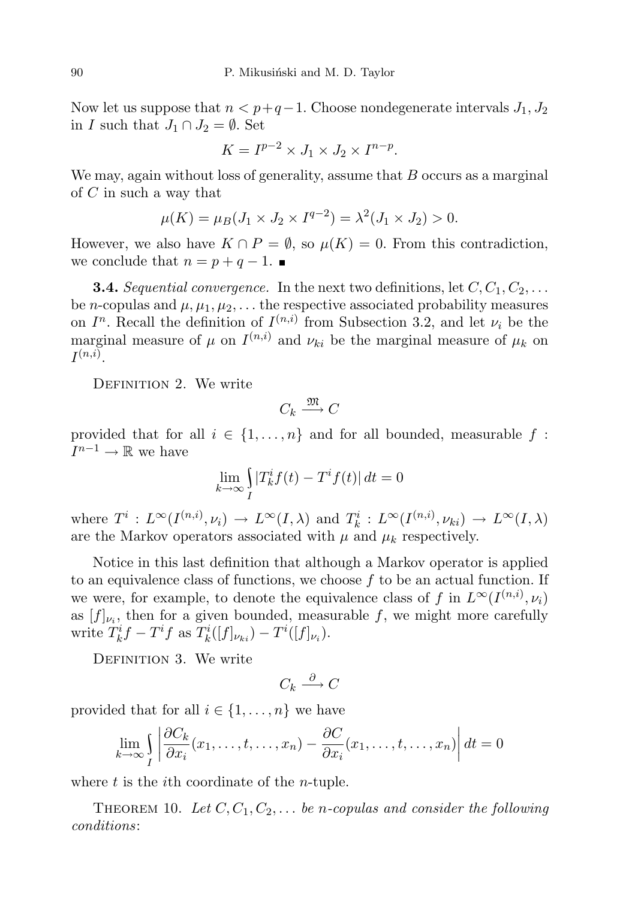Now let us suppose that  $n < p+q-1$ . Choose nondegenerate intervals  $J_1, J_2$ in I such that  $J_1 \cap J_2 = \emptyset$ . Set

$$
K = I^{p-2} \times J_1 \times J_2 \times I^{n-p}.
$$

We may, again without loss of generality, assume that  $B$  occurs as a marginal of C in such a way that

$$
\mu(K) = \mu_B(J_1 \times J_2 \times I^{q-2}) = \lambda^2(J_1 \times J_2) > 0.
$$

However, we also have  $K \cap P = \emptyset$ , so  $\mu(K) = 0$ . From this contradiction, we conclude that  $n = p + q - 1$ .

**3.4.** Sequential convergence. In the next two definitions, let  $C, C_1, C_2, \ldots$ be *n*-copulas and  $\mu$ ,  $\mu_1$ ,  $\mu_2$ ,... the respective associated probability measures on  $I<sup>n</sup>$ . Recall the definition of  $I<sup>(n,i)</sup>$  from Subsection 3.2, and let  $\nu_i$  be the marginal measure of  $\mu$  on  $I^{(n,i)}$  and  $\nu_{ki}$  be the marginal measure of  $\mu_k$  on  $I^{(n,i)}.$ 

DEFINITION 2. We write

$$
C_k \xrightarrow{\mathfrak{M}} C
$$

provided that for all  $i \in \{1, ..., n\}$  and for all bounded, measurable f:  $I^{n-1} \to \mathbb{R}$  we have

$$
\lim_{k \to \infty} \int\limits_I |T_k^i f(t) - T^i f(t)| dt = 0
$$

where  $T^i: L^{\infty}(I^{(n,i)}, \nu_i) \to L^{\infty}(I, \lambda)$  and  $T^i_k: L^{\infty}(I^{(n,i)}, \nu_{ki}) \to L^{\infty}(I, \lambda)$ are the Markov operators associated with  $\mu$  and  $\mu_k$  respectively.

Notice in this last definition that although a Markov operator is applied to an equivalence class of functions, we choose  $f$  to be an actual function. If we were, for example, to denote the equivalence class of f in  $L^{\infty}(I^{(n,i)}, \nu_i)$ as  $[f]_{\nu_i}$ , then for a given bounded, measurable f, we might more carefully write  $T_k^i f - T^i f$  as  $T_k^i([f]_{\nu_{ki}}) - T^i([f]_{\nu_i}).$ 

DEFINITION 3. We write

$$
C_k \xrightarrow{\partial} C
$$

provided that for all  $i \in \{1, \ldots, n\}$  we have

$$
\lim_{k \to \infty} \int_{I} \left| \frac{\partial C_k}{\partial x_i}(x_1, \dots, t, \dots, x_n) - \frac{\partial C}{\partial x_i}(x_1, \dots, t, \dots, x_n) \right| dt = 0
$$

where  $t$  is the *i*th coordinate of the *n*-tuple.

THEOREM 10. Let  $C, C_1, C_2, \ldots$  be n-copulas and consider the following conditions: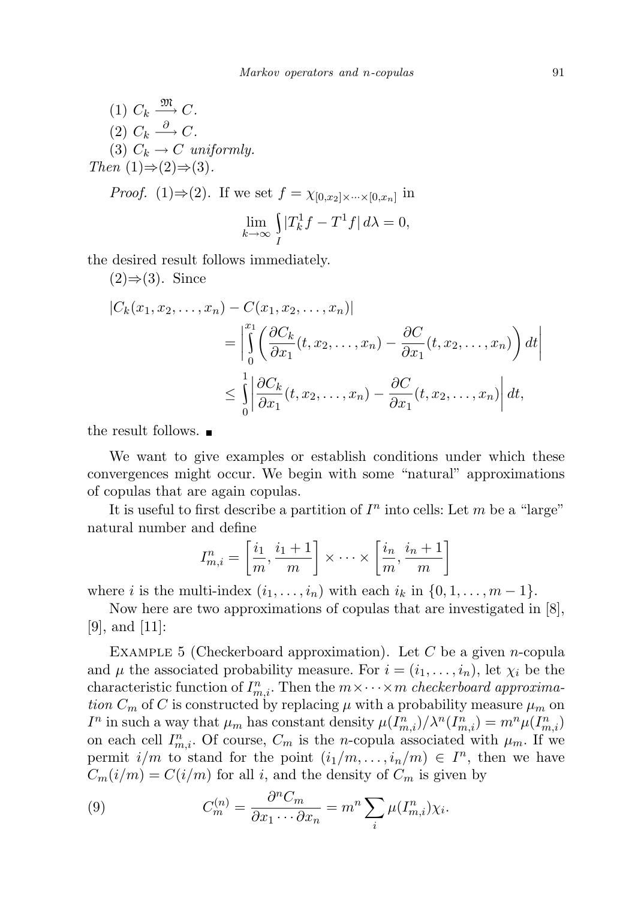(1) 
$$
C_k \xrightarrow{\mathfrak{M}} C
$$
.  
\n(2)  $C_k \xrightarrow{\partial} C$ .  
\n(3)  $C_k \rightarrow C$  uniformly.  
\nThen  $(1) \Rightarrow (2) \Rightarrow (3)$ .  
\n*Proof.*  $(1) \Rightarrow (2)$ . If we set  $f = \chi_{[0,x_2] \times \cdots \times [0,x_n]}$  in  
\n
$$
\lim_{k \to \infty} \int_I |T_k^1 f - T^1 f| d\lambda = 0,
$$

the desired result follows immediately.

 $(2) \Rightarrow (3)$ . Since

$$
|C_k(x_1, x_2, \dots, x_n) - C(x_1, x_2, \dots, x_n)|
$$
  
= 
$$
\left| \int_0^{x_1} \left( \frac{\partial C_k}{\partial x_1}(t, x_2, \dots, x_n) - \frac{\partial C}{\partial x_1}(t, x_2, \dots, x_n) \right) dt \right|
$$
  

$$
\leq \int_0^1 \left| \frac{\partial C_k}{\partial x_1}(t, x_2, \dots, x_n) - \frac{\partial C}{\partial x_1}(t, x_2, \dots, x_n) \right| dt,
$$

the result follows.

We want to give examples or establish conditions under which these convergences might occur. We begin with some "natural" approximations of copulas that are again copulas.

It is useful to first describe a partition of  $I<sup>n</sup>$  into cells: Let m be a "large" natural number and define

$$
I_{m,i}^n = \left[\frac{i_1}{m}, \frac{i_1+1}{m}\right] \times \cdots \times \left[\frac{i_n}{m}, \frac{i_n+1}{m}\right]
$$

where i is the multi-index  $(i_1, \ldots, i_n)$  with each  $i_k$  in  $\{0, 1, \ldots, m-1\}$ .

Now here are two approximations of copulas that are investigated in [8], [9], and [11]:

EXAMPLE 5 (Checkerboard approximation). Let C be a given *n*-copula and  $\mu$  the associated probability measure. For  $i = (i_1, \ldots, i_n)$ , let  $\chi_i$  be the characteristic function of  $I_{m,i}^n$ . Then the  $m \times \cdots \times m$  checkerboard approximation  $C_m$  of C is constructed by replacing  $\mu$  with a probability measure  $\mu_m$  on  $I^n$  in such a way that  $\mu_m$  has constant density  $\mu(I_{m,i}^n)/\lambda^n(I_{m,i}^n) = m^n \mu(I_{m,i}^n)$ on each cell  $I_{m,i}^n$ . Of course,  $C_m$  is the *n*-copula associated with  $\mu_m$ . If we permit  $i/m$  to stand for the point  $(i_1/m, \ldots, i_n/m) \in I^n$ , then we have  $C_m(i/m) = C(i/m)$  for all i, and the density of  $C_m$  is given by

(9) 
$$
C_m^{(n)} = \frac{\partial^n C_m}{\partial x_1 \cdots \partial x_n} = m^n \sum_i \mu(I_{m,i}^n) \chi_i.
$$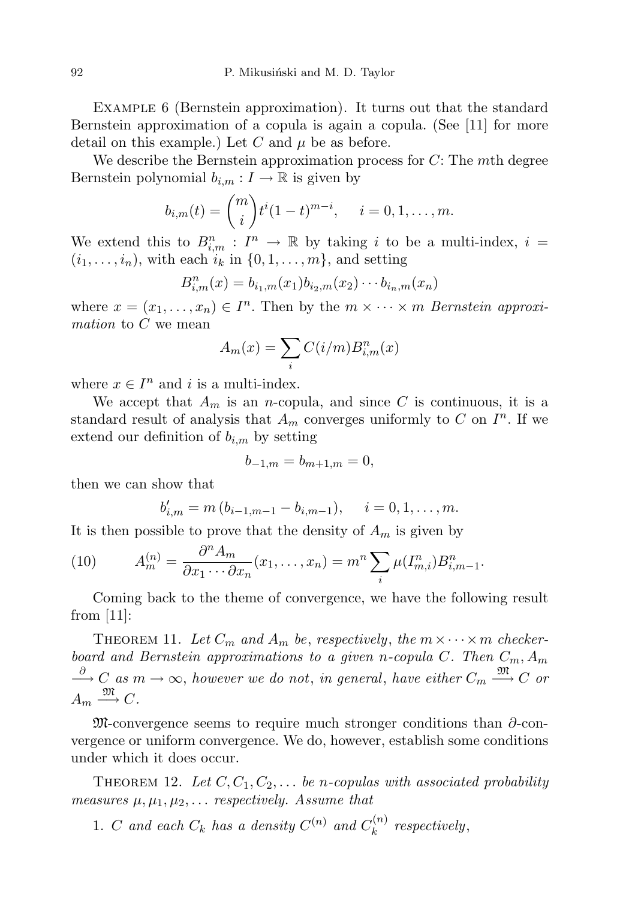Example 6 (Bernstein approximation). It turns out that the standard Bernstein approximation of a copula is again a copula. (See [11] for more detail on this example.) Let C and  $\mu$  be as before.

We describe the Bernstein approximation process for  $C$ : The mth degree Bernstein polynomial  $b_{i,m}: I \to \mathbb{R}$  is given by

$$
b_{i,m}(t) = {m \choose i} t^i (1-t)^{m-i}, \quad i = 0, 1, ..., m.
$$

We extend this to  $B_{i,m}^n : I^n \to \mathbb{R}$  by taking i to be a multi-index,  $i =$  $(i_1, \ldots, i_n)$ , with each  $i_k$  in  $\{0, 1, \ldots, m\}$ , and setting

$$
B_{i,m}^n(x) = b_{i_1,m}(x_1)b_{i_2,m}(x_2)\cdots b_{i_n,m}(x_n)
$$

where  $x = (x_1, \ldots, x_n) \in I^n$ . Then by the  $m \times \cdots \times m$  Bernstein approximation to C we mean

$$
A_m(x) = \sum_i C(i/m) B_{i,m}^n(x)
$$

where  $x \in I^n$  and i is a multi-index.

We accept that  $A_m$  is an *n*-copula, and since C is continuous, it is a standard result of analysis that  $A_m$  converges uniformly to C on  $I^n$ . If we extend our definition of  $b_{i,m}$  by setting

$$
b_{-1,m} = b_{m+1,m} = 0,
$$

then we can show that

$$
b'_{i,m} = m(b_{i-1,m-1} - b_{i,m-1}), \quad i = 0, 1, ..., m.
$$

It is then possible to prove that the density of  $A_m$  is given by

(10) 
$$
A_m^{(n)} = \frac{\partial^n A_m}{\partial x_1 \cdots \partial x_n}(x_1, \ldots, x_n) = m^n \sum_i \mu(I_{m,i}^n) B_{i,m-1}^n.
$$

Coming back to the theme of convergence, we have the following result from  $|11|$ :

THEOREM 11. Let  $C_m$  and  $A_m$  be, respectively, the  $m \times \cdots \times m$  checkerboard and Bernstein approximations to a given n-copula C. Then  $C_m$ ,  $A_m$  $\stackrel{\partial}{\longrightarrow} C$  as  $m \to \infty$ , however we do not, in general, have either  $C_m \stackrel{\mathfrak{M}}{\longrightarrow} C$  or  $A_m \stackrel{\mathfrak{M}}{\longrightarrow} C.$ 

M-convergence seems to require much stronger conditions than ∂-convergence or uniform convergence. We do, however, establish some conditions under which it does occur.

THEOREM 12. Let  $C, C_1, C_2, \ldots$  be n-copulas with associated probability measures  $\mu, \mu_1, \mu_2, \ldots$  respectively. Assume that

1. C and each  $C_k$  has a density  $C^{(n)}$  and  $C_k^{(n)}$  $\binom{n}{k}$  respectively,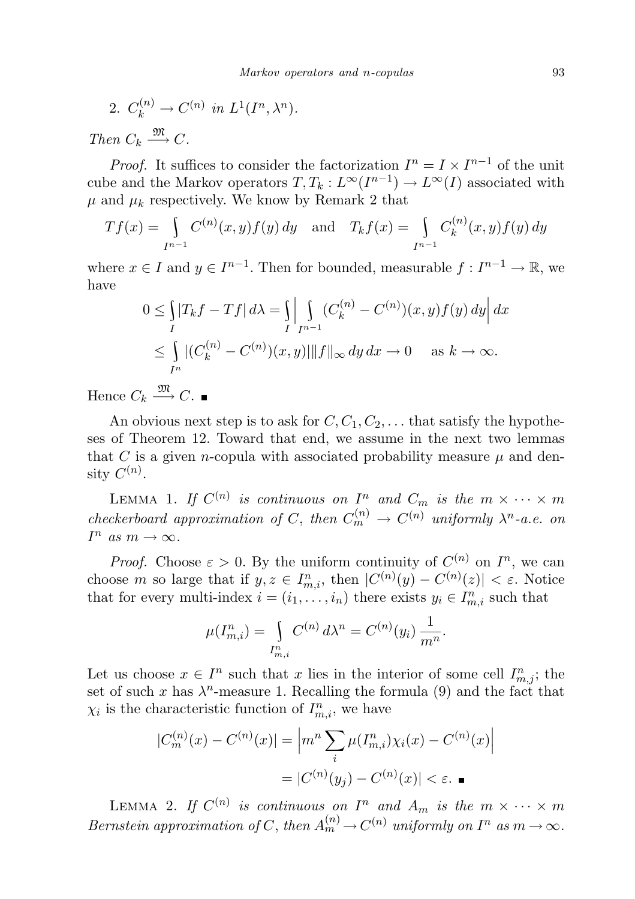2. 
$$
C_k^{(n)} \to C^{(n)}
$$
 in  $L^1(I^n, \lambda^n)$ .

Then  $C_k \xrightarrow{\mathfrak{M}} C$ .

*Proof.* It suffices to consider the factorization  $I^n = I \times I^{n-1}$  of the unit cube and the Markov operators  $T, T_k : L^{\infty}(I^{n-1}) \to L^{\infty}(I)$  associated with  $\mu$  and  $\mu_k$  respectively. We know by Remark 2 that

$$
Tf(x) = \int_{I^{n-1}} C^{(n)}(x, y) f(y) dy
$$
 and  $T_k f(x) = \int_{I^{n-1}} C_k^{(n)}(x, y) f(y) dy$ 

where  $x \in I$  and  $y \in I^{n-1}$ . Then for bounded, measurable  $f: I^{n-1} \to \mathbb{R}$ , we have

$$
0 \le \int_{I} |T_k f - Tf| d\lambda = \int_{I} \left| \int_{I^{n-1}} (C_k^{(n)} - C^{(n)})(x, y) f(y) dy \right| dx
$$
  

$$
\le \int_{I^n} |(C_k^{(n)} - C^{(n)})(x, y)| ||f||_{\infty} dy dx \to 0 \quad \text{as } k \to \infty.
$$

Hence  $C_k \stackrel{\mathfrak{M}}{\longrightarrow} C$ .

An obvious next step is to ask for  $C, C_1, C_2, \ldots$  that satisfy the hypotheses of Theorem 12. Toward that end, we assume in the next two lemmas that C is a given *n*-copula with associated probability measure  $\mu$  and density  $C^{(n)}$ .

LEMMA 1. If  $C^{(n)}$  is continuous on  $I^n$  and  $C_m$  is the  $m \times \cdots \times m$ checkerboard approximation of C, then  $C_m^{(n)} \to C^{(n)}$  uniformly  $\lambda^n$ -a.e. on  $I^n$  as  $m \to \infty$ .

*Proof.* Choose  $\varepsilon > 0$ . By the uniform continuity of  $C^{(n)}$  on  $I^n$ , we can choose m so large that if  $y, z \in I_{m,i}^n$ , then  $|C^{(n)}(y) - C^{(n)}(z)| < \varepsilon$ . Notice that for every multi-index  $i = (i_1, \ldots, i_n)$  there exists  $y_i \in I^n_{m,i}$  such that

$$
\mu(I_{m,i}^n) = \int\limits_{I_{m,i}^n} C^{(n)} d\lambda^n = C^{(n)}(y_i) \frac{1}{m^n}.
$$

Let us choose  $x \in I^n$  such that x lies in the interior of some cell  $I^n_{m,j}$ ; the set of such x has  $\lambda^n$ -measure 1. Recalling the formula (9) and the fact that  $\chi_i$  is the characteristic function of  $I_{m,i}^n$ , we have

$$
|C_m^{(n)}(x) - C^{(n)}(x)| = \left| m^n \sum_i \mu(I_{m,i}^n) \chi_i(x) - C^{(n)}(x) \right|
$$
  
=  $|C^{(n)}(y_j) - C^{(n)}(x)| < \varepsilon.$ 

LEMMA 2. If  $C^{(n)}$  is continuous on  $I^n$  and  $A_m$  is the  $m \times \cdots \times m$ Bernstein approximation of C, then  $A_m^{(n)} \to C^{(n)}$  uniformly on  $I^n$  as  $m \to \infty$ .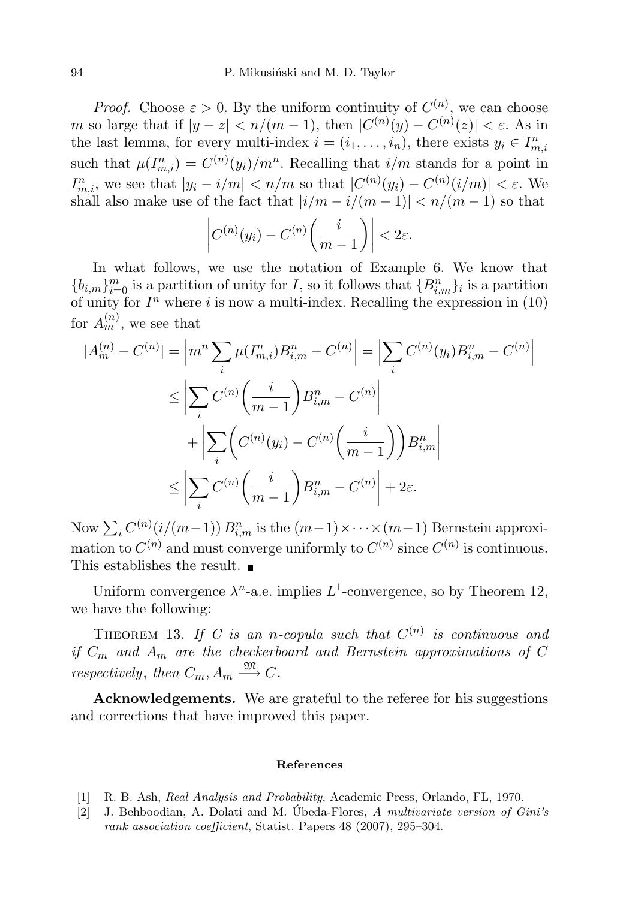*Proof.* Choose  $\varepsilon > 0$ . By the uniform continuity of  $C^{(n)}$ , we can choose m so large that if  $|y - z| < n/(m - 1)$ , then  $|C^{(n)}(y) - C^{(n)}(z)| < \varepsilon$ . As in the last lemma, for every multi-index  $i = (i_1, \ldots, i_n)$ , there exists  $y_i \in I^n_{m,i}$ such that  $\mu(I_{m,i}^n) = C^{(n)}(y_i)/m^n$ . Recalling that  $i/m$  stands for a point in  $I_{m,i}^n$ , we see that  $|y_i - i/m| < n/m$  so that  $|C^{(n)}(y_i) - C^{(n)}(i/m)| < \varepsilon$ . We shall also make use of the fact that  $|i/m - i/(m - 1)| < n/(m - 1)$  so that

$$
\left|C^{(n)}(y_i) - C^{(n)}\left(\frac{i}{m-1}\right)\right| < 2\varepsilon.
$$

In what follows, we use the notation of Example 6. We know that  ${b_{i,m}}_{i=0}^m$  is a partition of unity for I, so it follows that  ${B_{i,m}^n}_{i}$  is a partition of unity for  $I<sup>n</sup>$  where i is now a multi-index. Recalling the expression in (10) for  $A_m^{(n)}$ , we see that

$$
|A_m^{(n)} - C^{(n)}| = \left| m^n \sum_i \mu(I_{m,i}^n) B_{i,m}^n - C^{(n)} \right| = \left| \sum_i C^{(n)}(y_i) B_{i,m}^n - C^{(n)} \right|
$$
  

$$
\leq \left| \sum_i C^{(n)} \left( \frac{i}{m-1} \right) B_{i,m}^n - C^{(n)} \right|
$$
  

$$
+ \left| \sum_i \left( C^{(n)}(y_i) - C^{(n)} \left( \frac{i}{m-1} \right) \right) B_{i,m}^n \right|
$$
  

$$
\leq \left| \sum_i C^{(n)} \left( \frac{i}{m-1} \right) B_{i,m}^n - C^{(n)} \right| + 2\varepsilon.
$$

Now  $\sum_i C^{(n)}(i/(m-1))$   $B_{i,m}^n$  is the  $(m-1)\times\dots\times(m-1)$  Bernstein approximation to  $C^{(n)}$  and must converge uniformly to  $C^{(n)}$  since  $C^{(n)}$  is continuous. This establishes the result.  $\blacksquare$ 

Uniform convergence  $\lambda^n$ -a.e. implies  $L^1$ -convergence, so by Theorem 12, we have the following:

THEOREM 13. If C is an n-copula such that  $C^{(n)}$  is continuous and if  $C_m$  and  $A_m$  are the checkerboard and Bernstein approximations of C respectively, then  $C_m$ ,  $A_m \stackrel{\mathfrak{M}}{\longrightarrow} C$ .

Acknowledgements. We are grateful to the referee for his suggestions and corrections that have improved this paper.

## References

- [1] R. B. Ash, Real Analysis and Probability, Academic Press, Orlando, FL, 1970.
- [2] J. Behboodian, A. Dolati and M. Ubeda-Flores, A multivariate version of  $Gini's$ rank association coefficient, Statist. Papers 48 (2007), 295–304.